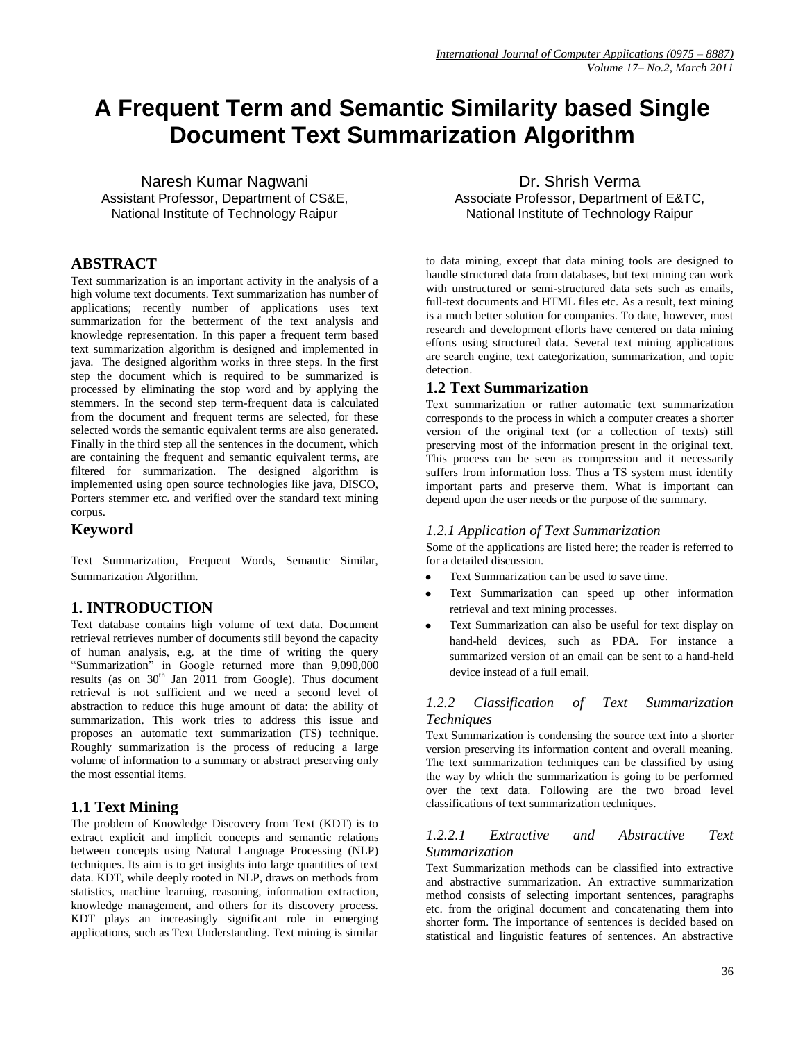# **A Frequent Term and Semantic Similarity based Single Document Text Summarization Algorithm**

Naresh Kumar Nagwani Assistant Professor, Department of CS&E, National Institute of Technology Raipur

# **ABSTRACT**

Text summarization is an important activity in the analysis of a high volume text documents. Text summarization has number of applications; recently number of applications uses text summarization for the betterment of the text analysis and knowledge representation. In this paper a frequent term based text summarization algorithm is designed and implemented in java. The designed algorithm works in three steps. In the first step the document which is required to be summarized is processed by eliminating the stop word and by applying the stemmers. In the second step term-frequent data is calculated from the document and frequent terms are selected, for these selected words the semantic equivalent terms are also generated. Finally in the third step all the sentences in the document, which are containing the frequent and semantic equivalent terms, are filtered for summarization. The designed algorithm is implemented using open source technologies like java, DISCO, Porters stemmer etc. and verified over the standard text mining corpus.

# **Keyword**

Text Summarization, Frequent Words, Semantic Similar, Summarization Algorithm.

# **1. INTRODUCTION**

Text database contains high volume of text data. Document retrieval retrieves number of documents still beyond the capacity of human analysis, e.g. at the time of writing the query "Summarization" in Google returned more than 9,090,000 results (as on 30<sup>th</sup> Jan 2011 from Google). Thus document retrieval is not sufficient and we need a second level of abstraction to reduce this huge amount of data: the ability of summarization. This work tries to address this issue and proposes an automatic text summarization (TS) technique. Roughly summarization is the process of reducing a large volume of information to a summary or abstract preserving only the most essential items.

# **1.1 Text Mining**

The problem of Knowledge Discovery from Text (KDT) is to extract explicit and implicit concepts and semantic relations between concepts using Natural Language Processing (NLP) techniques. Its aim is to get insights into large quantities of text data. KDT, while deeply rooted in NLP, draws on methods from statistics, machine learning, reasoning, information extraction, knowledge management, and others for its discovery process. KDT plays an increasingly significant role in emerging applications, such as Text Understanding. Text mining is similar

Dr. Shrish Verma Associate Professor, Department of E&TC, National Institute of Technology Raipur

to data mining, except that data mining tools are designed to handle structured data from databases, but text mining can work with unstructured or semi-structured data sets such as emails, full-text documents and HTML files etc. As a result, text mining is a much better solution for companies. To date, however, most research and development efforts have centered on data mining efforts using structured data. Several text mining applications are search engine, text categorization, summarization, and topic detection.

### **1.2 Text Summarization**

Text summarization or rather automatic text summarization corresponds to the process in which a computer creates a shorter version of the original text (or a collection of texts) still preserving most of the information present in the original text. This process can be seen as compression and it necessarily suffers from information loss. Thus a TS system must identify important parts and preserve them. What is important can depend upon the user needs or the purpose of the summary.

### *1.2.1 Application of Text Summarization*

Some of the applications are listed here; the reader is referred to for a detailed discussion.

- Text Summarization can be used to save time.
- Text Summarization can speed up other information retrieval and text mining processes.
- Text Summarization can also be useful for text display on hand-held devices, such as PDA. For instance a summarized version of an email can be sent to a hand-held device instead of a full email.

### *1.2.2 Classification of Text Summarization Techniques*

Text Summarization is condensing the source text into a shorter version preserving its information content and overall meaning. The text summarization techniques can be classified by using the way by which the summarization is going to be performed over the text data. Following are the two broad level classifications of text summarization techniques.

### *1.2.2.1 Extractive and Abstractive Text Summarization*

Text Summarization methods can be classified into extractive and abstractive summarization. An extractive summarization method consists of selecting important sentences, paragraphs etc. from the original document and concatenating them into shorter form. The importance of sentences is decided based on statistical and linguistic features of sentences. An abstractive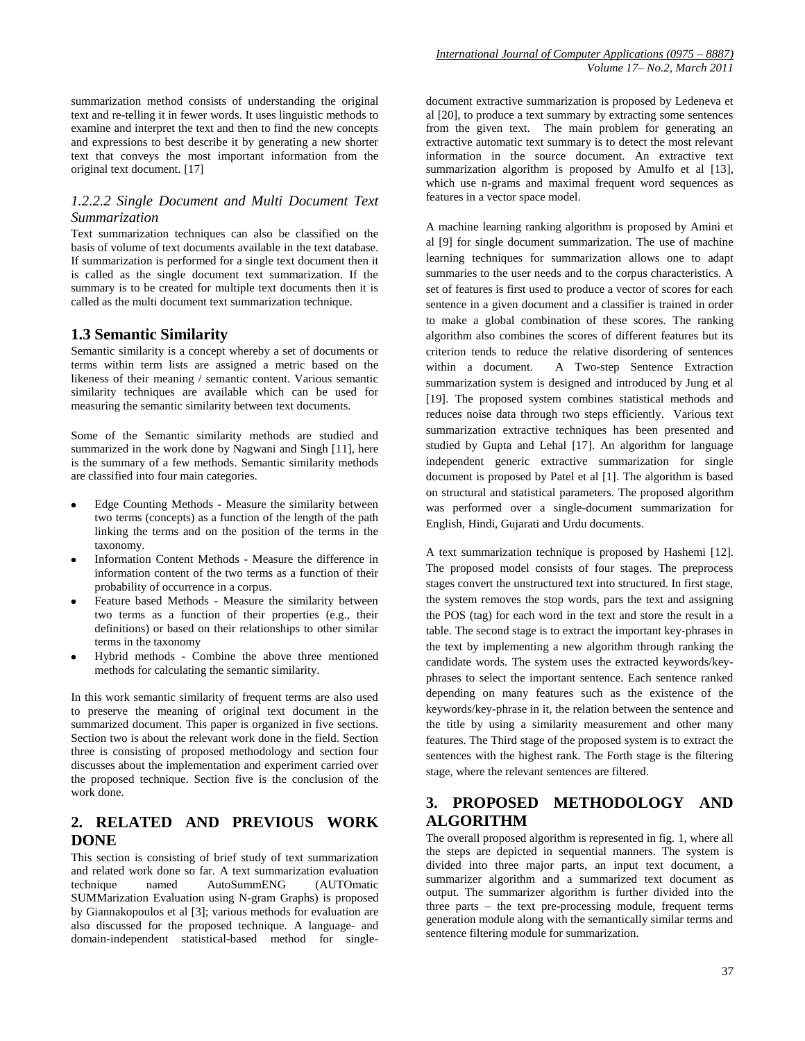summarization method consists of understanding the original text and re-telling it in fewer words. It uses linguistic methods to examine and interpret the text and then to find the new concepts and expressions to best describe it by generating a new shorter text that conveys the most important information from the original text document. [17]

### *1.2.2.2 Single Document and Multi Document Text Summarization*

Text summarization techniques can also be classified on the basis of volume of text documents available in the text database. If summarization is performed for a single text document then it is called as the single document text summarization. If the summary is to be created for multiple text documents then it is called as the multi document text summarization technique.

### **1.3 Semantic Similarity**

Semantic similarity is a concept whereby a set of documents or terms within term lists are assigned a metric based on the likeness of their meaning / semantic content. Various semantic similarity techniques are available which can be used for measuring the semantic similarity between text documents.

Some of the Semantic similarity methods are studied and summarized in the work done by Nagwani and Singh [11], here is the summary of a few methods. Semantic similarity methods are classified into four main categories.

- Edge Counting Methods Measure the similarity between two terms (concepts) as a function of the length of the path linking the terms and on the position of the terms in the taxonomy.
- Information Content Methods Measure the difference in information content of the two terms as a function of their probability of occurrence in a corpus.
- Feature based Methods Measure the similarity between two terms as a function of their properties (e.g., their definitions) or based on their relationships to other similar terms in the taxonomy
- Hybrid methods Combine the above three mentioned methods for calculating the semantic similarity.

In this work semantic similarity of frequent terms are also used to preserve the meaning of original text document in the summarized document. This paper is organized in five sections. Section two is about the relevant work done in the field. Section three is consisting of proposed methodology and section four discusses about the implementation and experiment carried over the proposed technique. Section five is the conclusion of the work done.

# **2. RELATED AND PREVIOUS WORK DONE**

This section is consisting of brief study of text summarization and related work done so far. A text summarization evaluation technique named AutoSummENG (AUTOmatic SUMMarization Evaluation using N-gram Graphs) is proposed by Giannakopoulos et al [3]; various methods for evaluation are also discussed for the proposed technique. A language- and domain-independent statistical-based method for singledocument extractive summarization is proposed by Ledeneva et al [20], to produce a text summary by extracting some sentences from the given text. The main problem for generating an extractive automatic text summary is to detect the most relevant information in the source document. An extractive text summarization algorithm is proposed by Amulfo et al [13], which use n-grams and maximal frequent word sequences as features in a vector space model.

A machine learning ranking algorithm is proposed by Amini et al [9] for single document summarization. The use of machine learning techniques for summarization allows one to adapt summaries to the user needs and to the corpus characteristics. A set of features is first used to produce a vector of scores for each sentence in a given document and a classifier is trained in order to make a global combination of these scores. The ranking algorithm also combines the scores of different features but its criterion tends to reduce the relative disordering of sentences within a document. A Two-step Sentence Extraction summarization system is designed and introduced by Jung et al [19]. The proposed system combines statistical methods and reduces noise data through two steps efficiently. Various text summarization extractive techniques has been presented and studied by Gupta and Lehal [17]. An algorithm for language independent generic extractive summarization for single document is proposed by Patel et al [1]. The algorithm is based on structural and statistical parameters. The proposed algorithm was performed over a single-document summarization for English, Hindi, Gujarati and Urdu documents.

A text summarization technique is proposed by Hashemi [12]. The proposed model consists of four stages. The preprocess stages convert the unstructured text into structured. In first stage, the system removes the stop words, pars the text and assigning the POS (tag) for each word in the text and store the result in a table. The second stage is to extract the important key-phrases in the text by implementing a new algorithm through ranking the candidate words. The system uses the extracted keywords/keyphrases to select the important sentence. Each sentence ranked depending on many features such as the existence of the keywords/key-phrase in it, the relation between the sentence and the title by using a similarity measurement and other many features. The Third stage of the proposed system is to extract the sentences with the highest rank. The Forth stage is the filtering stage, where the relevant sentences are filtered.

# **3. PROPOSED METHODOLOGY AND ALGORITHM**

The overall proposed algorithm is represented in fig. 1, where all the steps are depicted in sequential manners. The system is divided into three major parts, an input text document, a summarizer algorithm and a summarized text document as output. The summarizer algorithm is further divided into the three parts – the text pre-processing module, frequent terms generation module along with the semantically similar terms and sentence filtering module for summarization.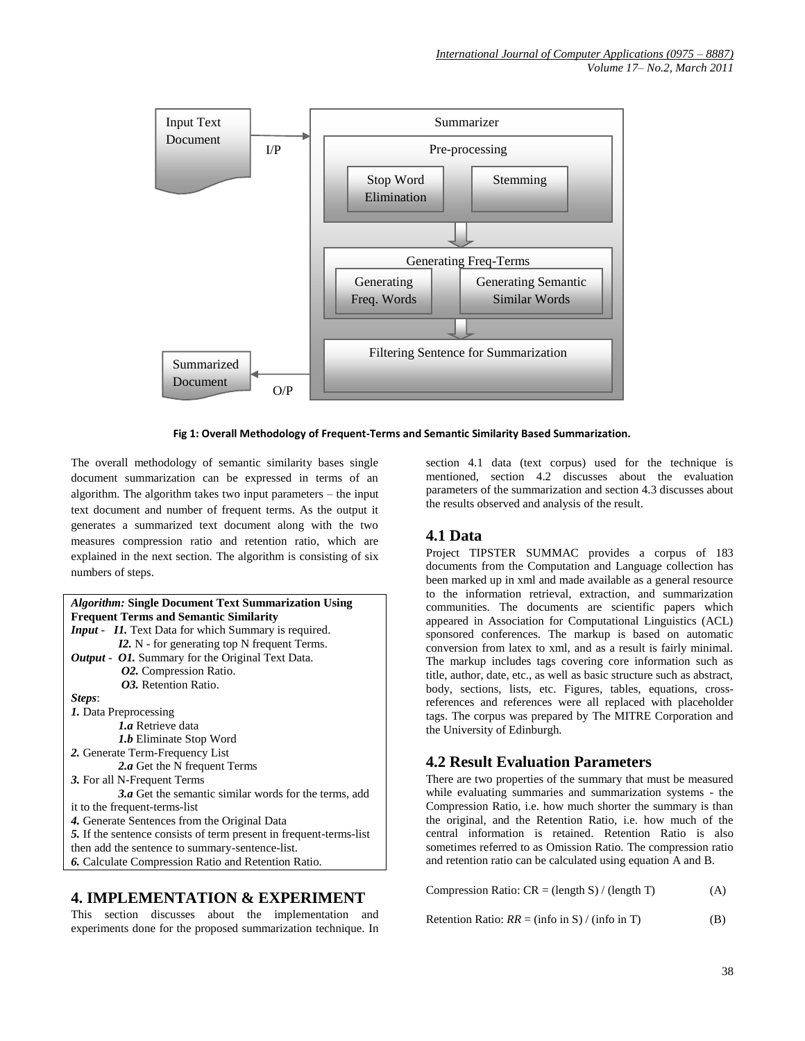

**Fig 1: Overall Methodology of Frequent-Terms and Semantic Similarity Based Summarization.**

The overall methodology of semantic similarity bases single document summarization can be expressed in terms of an algorithm. The algorithm takes two input parameters – the input text document and number of frequent terms. As the output it generates a summarized text document along with the two measures compression ratio and retention ratio, which are explained in the next section. The algorithm is consisting of six numbers of steps.

| <i>Algorithm:</i> Single Document Text Summarization Using         |
|--------------------------------------------------------------------|
| <b>Frequent Terms and Semantic Similarity</b>                      |
| <b>Input - II.</b> Text Data for which Summary is required.        |
| <b>I2.</b> N - for generating top N frequent Terms.                |
| <b><i>Output - O1.</i></b> Summary for the Original Text Data.     |
| 02. Compression Ratio.                                             |
| <b>03.</b> Retention Ratio.                                        |
| Steps:                                                             |
| <i>1.</i> Data Preprocessing                                       |
| <i>l.a</i> Retrieve data                                           |
| <i>1.b</i> Eliminate Stop Word                                     |
| 2. Generate Term-Frequency List                                    |
| 2.a Get the N frequent Terms                                       |
| 3. For all N-Frequent Terms                                        |
| $3.a$ Get the semantic similar words for the terms, add            |
| it to the frequent-terms-list                                      |
| 4. Generate Sentences from the Original Data                       |
| 5. If the sentence consists of term present in frequent-terms-list |
| then add the sentence to summary-sentence-list.                    |
| <b>6.</b> Calculate Compression Ratio and Retention Ratio.         |

# **4. IMPLEMENTATION & EXPERIMENT**

This section discusses about the implementation and experiments done for the proposed summarization technique. In section 4.1 data (text corpus) used for the technique is mentioned, section 4.2 discusses about the evaluation parameters of the summarization and section 4.3 discusses about the results observed and analysis of the result.

### **4.1 Data**

Project TIPSTER SUMMAC provides a corpus of 183 documents from the Computation and Language collection has been marked up in xml and made available as a general resource to the information retrieval, extraction, and summarization communities. The documents are scientific papers which appeared in Association for Computational Linguistics (ACL) sponsored conferences. The markup is based on automatic conversion from latex to xml, and as a result is fairly minimal. The markup includes tags covering core information such as title, author, date, etc., as well as basic structure such as abstract, body, sections, lists, etc. Figures, tables, equations, crossreferences and references were all replaced with placeholder tags. The corpus was prepared by The MITRE Corporation and the University of Edinburgh.

# **4.2 Result Evaluation Parameters**

There are two properties of the summary that must be measured while evaluating summaries and summarization systems - the Compression Ratio, i.e. how much shorter the summary is than the original, and the Retention Ratio, i.e. how much of the central information is retained. Retention Ratio is also sometimes referred to as Omission Ratio. The compression ratio and retention ratio can be calculated using equation A and B.

Compression Ratio:  $CR = (length S) / (length T)$  (A)

Retention Ratio:  $RR = (info in S) / (info in T)$  (B)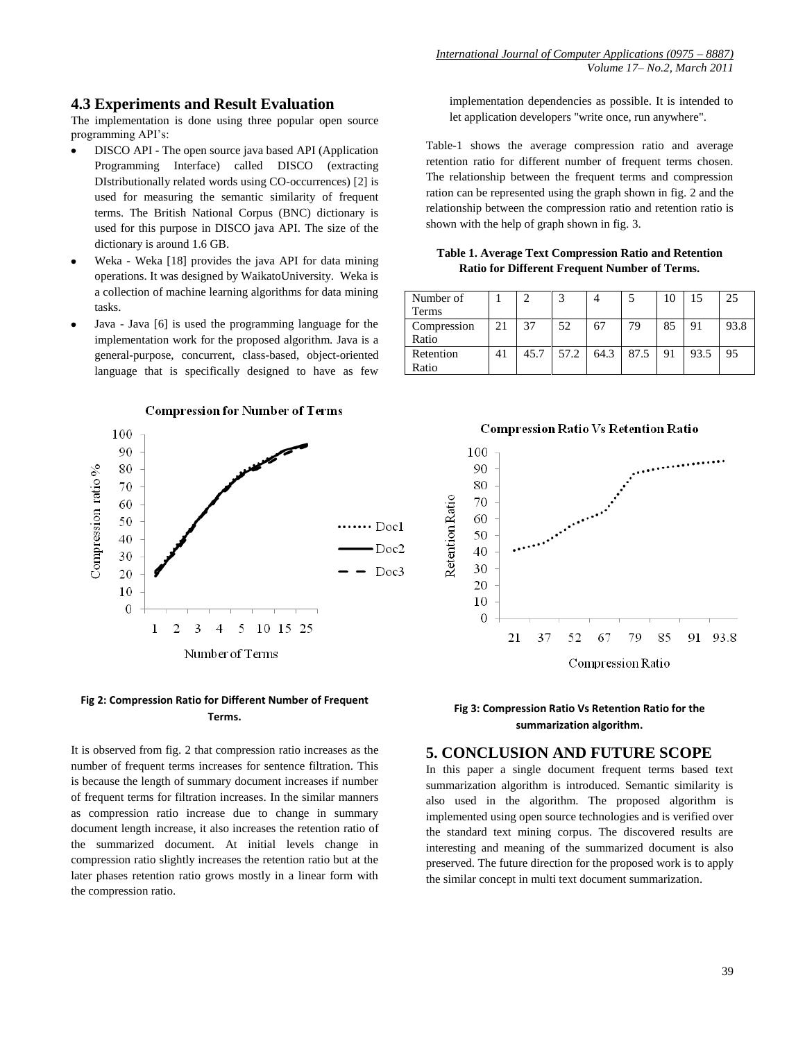#### **4.3 Experiments and Result Evaluation**

The implementation is done using three popular open source programming API's:

- DISCO API The open source java based API (Application Programming Interface) called DISCO (extracting DIstributionally related words using CO-occurrences) [2] is used for measuring the semantic similarity of frequent terms. The British National Corpus (BNC) dictionary is used for this purpose in DISCO java API. The size of the dictionary is around 1.6 GB.
- Weka Weka [18] provides the java API for data mining operations. It was designed by WaikatoUniversity. Weka is a collection of machine learning algorithms for data mining tasks.
- Java Java [6] is used the programming language for the implementation work for the proposed algorithm. Java is a general-purpose, concurrent, class-based, object-oriented language that is specifically designed to have as few



#### **Fig 2: Compression Ratio for Different Number of Frequent Terms.**

It is observed from fig. 2 that compression ratio increases as the number of frequent terms increases for sentence filtration. This is because the length of summary document increases if number of frequent terms for filtration increases. In the similar manners as compression ratio increase due to change in summary document length increase, it also increases the retention ratio of the summarized document. At initial levels change in compression ratio slightly increases the retention ratio but at the later phases retention ratio grows mostly in a linear form with the compression ratio.

implementation dependencies as possible. It is intended to let application developers "write once, run anywhere".

Table-1 shows the average compression ratio and average retention ratio for different number of frequent terms chosen. The relationship between the frequent terms and compression ration can be represented using the graph shown in fig. 2 and the relationship between the compression ratio and retention ratio is shown with the help of graph shown in fig. 3.

**Table 1. Average Text Compression Ratio and Retention Ratio for Different Frequent Number of Terms.**

| Number of<br>Terms   |    |      |      |      |      | 10 |      | 25   |
|----------------------|----|------|------|------|------|----|------|------|
| Compression<br>Ratio | 21 | 37   | 52   | 67   | 79   | 85 | 91   | 93.8 |
| Retention<br>Ratio   | 41 | 45.7 | 57.2 | 64.3 | 87.5 | 91 | 93.5 | 95   |



#### **Fig 3: Compression Ratio Vs Retention Ratio for the summarization algorithm.**

#### **5. CONCLUSION AND FUTURE SCOPE**

In this paper a single document frequent terms based text summarization algorithm is introduced. Semantic similarity is also used in the algorithm. The proposed algorithm is implemented using open source technologies and is verified over the standard text mining corpus. The discovered results are interesting and meaning of the summarized document is also preserved. The future direction for the proposed work is to apply the similar concept in multi text document summarization.